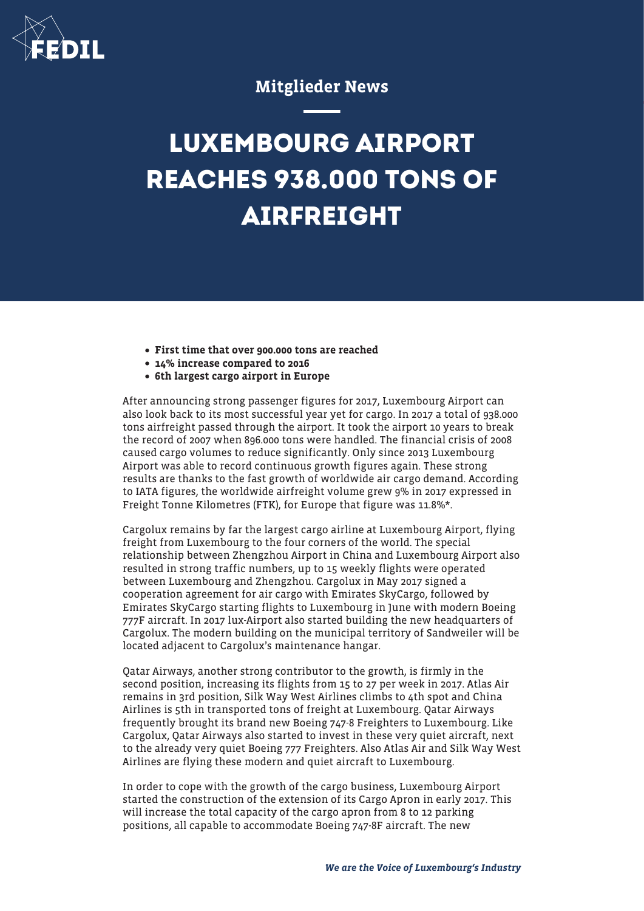

## Mitglieder News

## **LUXEMBOURG AIRPORT REACHES 938.000 TONS OF AIRFREIGHT**

- First time that over 900.000 tons are reached
- 14% increase compared to 2016
- 6th largest cargo airport in Europe

After announcing strong passenger figures for 2017, Luxembourg Airport can also look back to its most successful year yet for cargo. In 2017 a total of 938.000 tons airfreight passed through the airport. It took the airport 10 years to break the record of 2007 when 896.000 tons were handled. The financial crisis of 2008 caused cargo volumes to reduce significantly. Only since 2013 Luxembourg Airport was able to record continuous growth figures again. These strong results are thanks to the fast growth of worldwide air cargo demand. According to IATA figures, the worldwide airfreight volume grew 9% in 2017 expressed in Freight Tonne Kilometres (FTK), for Europe that figure was 11.8%\*.

Cargolux remains by far the largest cargo airline at Luxembourg Airport, flying freight from Luxembourg to the four corners of the world. The special relationship between Zhengzhou Airport in China and Luxembourg Airport also resulted in strong traffic numbers, up to 15 weekly flights were operated between Luxembourg and Zhengzhou. Cargolux in May 2017 signed a cooperation agreement for air cargo with Emirates SkyCargo, followed by Emirates SkyCargo starting flights to Luxembourg in June with modern Boeing 777F aircraft. In 2017 lux-Airport also started building the new headquarters of Cargolux. The modern building on the municipal territory of Sandweiler will be located adjacent to Cargolux's maintenance hangar.

Qatar Airways, another strong contributor to the growth, is firmly in the second position, increasing its flights from 15 to 27 per week in 2017. Atlas Air remains in 3rd position, Silk Way West Airlines climbs to 4th spot and China Airlines is 5th in transported tons of freight at Luxembourg. Qatar Airways frequently brought its brand new Boeing 747-8 Freighters to Luxembourg. Like Cargolux, Qatar Airways also started to invest in these very quiet aircraft, next to the already very quiet Boeing 777 Freighters. Also Atlas Air and Silk Way West Airlines are flying these modern and quiet aircraft to Luxembourg.

In order to cope with the growth of the cargo business, Luxembourg Airport started the construction of the extension of its Cargo Apron in early 2017. This will increase the total capacity of the cargo apron from 8 to 12 parking positions, all capable to accommodate Boeing 747-8F aircraft. The new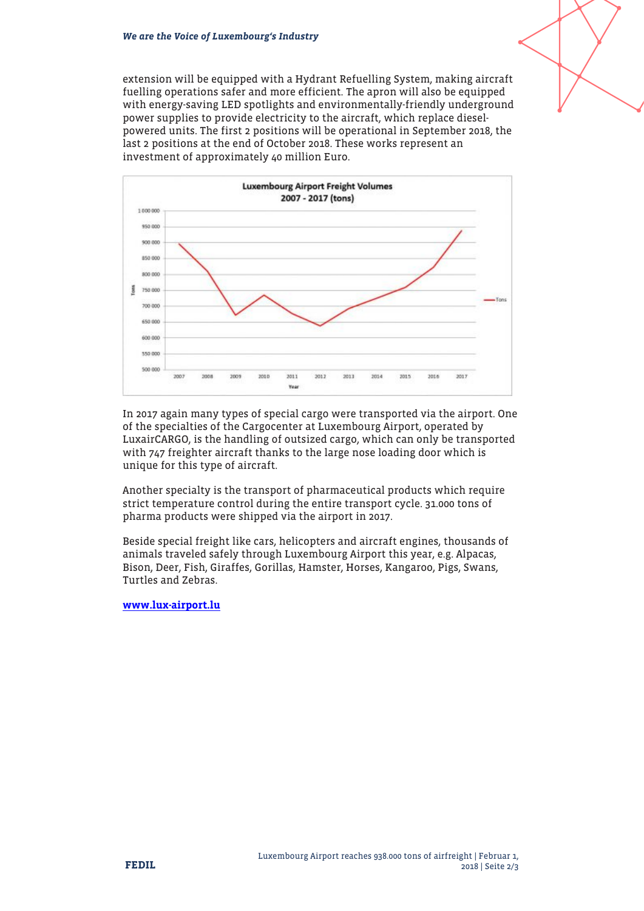extension will be equipped with a Hydrant Refuelling System, making aircraft fuelling operations safer and more efficient. The apron will also be equipped with energy-saving LED spotlights and environmentally-friendly underground power supplies to provide electricity to the aircraft, which replace dieselpowered units. The first 2 positions will be operational in September 2018, the last 2 positions at the end of October 2018. These works represent an investment of approximately 40 million Euro.



In 2017 again many types of special cargo were transported via the airport. One of the specialties of the Cargocenter at Luxembourg Airport, operated by LuxairCARGO, is the handling of outsized cargo, which can only be transported with 747 freighter aircraft thanks to the large nose loading door which is unique for this type of aircraft.

Another specialty is the transport of pharmaceutical products which require strict temperature control during the entire transport cycle. 31.000 tons of pharma products were shipped via the airport in 2017.

Beside special freight like cars, helicopters and aircraft engines, thousands of animals traveled safely through Luxembourg Airport this year, e.g. Alpacas, Bison, Deer, Fish, Giraffes, Gorillas, Hamster, Horses, Kangaroo, Pigs, Swans, Turtles and Zebras.

[www.lux-airport.lu](http://www.lux-airport.lu)